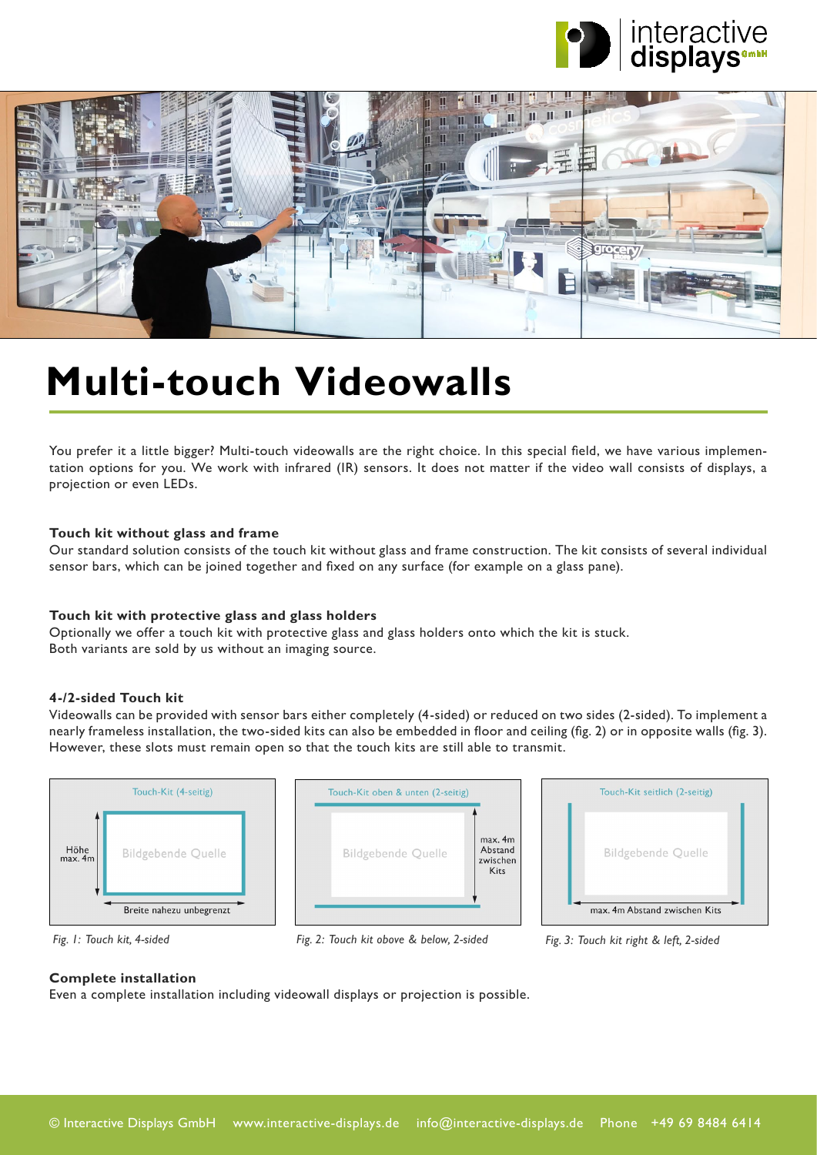



## **[Multi-touch Videowalls](https://www.interactive-displays.de/en/portfolio/videowalls/)**

You prefer it a little bigger? Multi-touch videowalls are the right choice. In this special field, we have various implementation options for you. We work with infrared (IR) sensors. It does not matter if the video wall consists of displays, a projection or even LEDs.

#### **Touch kit without glass and frame**

Our standard solution consists of the touch kit without glass and frame construction. The kit consists of several individual sensor bars, which can be joined together and fixed on any surface (for example on a glass pane).

#### **Touch kit with protective glass and glass holders**

Optionally we offer a touch kit with protective glass and glass holders onto which the kit is stuck. Both variants are sold by us without an imaging source.

#### **4-/2-sided Touch kit**

Videowalls can be provided with sensor bars either completely (4-sided) or reduced on two sides (2-sided). To implement a nearly frameless installation, the two-sided kits can also be embedded in floor and ceiling (fig. 2) or in opposite walls (fig. 3). However, these slots must remain open so that the touch kits are still able to transmit.







 *Fig. 1: Touch kit, 4-sided Fig. 2: Touch kit obove & below, 2-sided Fig. 3: Touch kit right & left, 2-sided*

#### **Complete installation**

Even a complete installation including videowall displays or projection is possible.